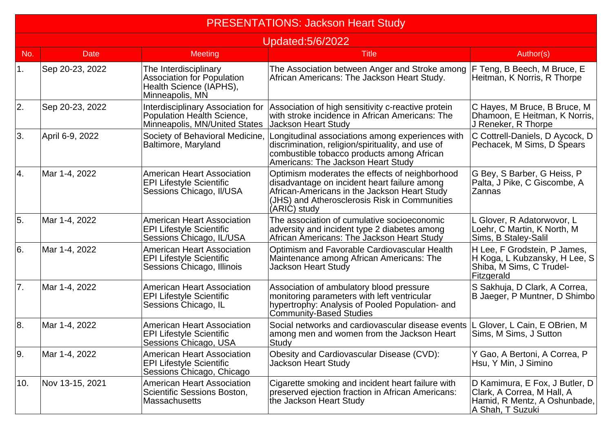|     | <b>PRESENTATIONS: Jackson Heart Study</b> |                                                                                                          |                                                                                                                                                                                                                 |                                                                                                                  |  |  |
|-----|-------------------------------------------|----------------------------------------------------------------------------------------------------------|-----------------------------------------------------------------------------------------------------------------------------------------------------------------------------------------------------------------|------------------------------------------------------------------------------------------------------------------|--|--|
|     | <b>Updated:5/6/2022</b>                   |                                                                                                          |                                                                                                                                                                                                                 |                                                                                                                  |  |  |
| No. | <b>Date</b>                               | Meeting                                                                                                  | <b>Title</b>                                                                                                                                                                                                    | Author(s)                                                                                                        |  |  |
| 1.  | Sep 20-23, 2022                           | The Interdisciplinary<br><b>Association for Population</b><br>Health Science (IAPHS),<br>Minneapolis, MN | The Association between Anger and Stroke among<br>African Americans: The Jackson Heart Study.                                                                                                                   | F Teng, B Beech, M Bruce, E<br>Heitman, K Norris, R Thorpe                                                       |  |  |
| 2.  | Sep 20-23, 2022                           | <b>Interdisciplinary Association for</b><br>Population Health Science,<br>Minneapolis, MN/United States  | Association of high sensitivity c-reactive protein<br>with stroke incidence in African Americans: The<br><b>Jackson Heart Study</b>                                                                             | C Hayes, M Bruce, B Bruce, M<br>Dhamoon, E Heitman, K Norris,<br>J Reneker, R Thorpe                             |  |  |
| 3.  | April 6-9, 2022                           | Society of Behavioral Medicine,<br>Baltimore, Maryland                                                   | Longitudinal associations among experiences with<br>discrimination, religion/spirituality, and use of<br>combustible tobacco products among African<br>Americans: The Jackson Heart Study                       | C Cottrell-Daniels, D Aycock, D<br>Pechacek, M Sims, D Spears                                                    |  |  |
| 4.  | Mar 1-4, 2022                             | <b>American Heart Association</b><br><b>EPI Lifestyle Scientific</b><br>Sessions Chicago, II/USA         | Optimism moderates the effects of neighborhood<br>disadvantage on incident heart failure among<br>African-Americans in the Jackson Heart Study<br>(JHS) and Atherosclerosis Risk in Communities<br>(ARIĆ) study | G Bey, S Barber, G Heiss, P<br>Palta, J Pike, C Giscombe, A<br><b>Zannas</b>                                     |  |  |
| 5.  | Mar 1-4, 2022                             | <b>American Heart Association</b><br><b>EPI Lifestyle Scientific</b><br>Sessions Chicago, IL/USA         | The association of cumulative socioeconomic<br>adversity and incident type 2 diabetes among<br>African Americans: The Jackson Heart Study                                                                       | L Glover, R Adatorwovor, L<br>Loehr, C Martin, K North, M<br>Sims, B Staley-Salil                                |  |  |
| l6. | Mar 1-4, 2022                             | <b>American Heart Association</b><br><b>EPI Lifestyle Scientific</b><br>Sessions Chicago, Illinois       | Optimism and Favorable Cardiovascular Health<br>Maintenance among African Americans: The<br><b>Jackson Heart Study</b>                                                                                          | H Lee, F Grodstein, P James,<br>H Koga, L Kubzansky, H Lee, S<br>Shiba, M Sims, C Trudel-<br>Fitzgerald          |  |  |
| 7.  | Mar 1-4, 2022                             | <b>American Heart Association</b><br><b>EPI Lifestyle Scientific</b><br>Sessions Chicago, IL             | Association of ambulatory blood pressure<br>monitoring parameters with left ventricular<br>hypertrophy: Analysis of Pooled Population- and<br>Community-Based Studies                                           | S Sakhuja, D Clark, A Correa,<br>B Jaeger, P Muntner, D Shimbo                                                   |  |  |
| 8.  | Mar 1-4, 2022                             | <b>American Heart Association</b><br><b>EPI Lifestyle Scientific</b><br>Sessions Chicago, USA            | Social networks and cardiovascular disease events<br>among men and women from the Jackson Heart<br>Study                                                                                                        | L Glover, L Cain, E OBrien, M<br>Sims, M Sims, J Sutton                                                          |  |  |
| Ι9. | Mar 1-4, 2022                             | <b>American Heart Association</b><br><b>EPI Lifestyle Scientific</b><br>Sessions Chicago, Chicago        | Obesity and Cardiovascular Disease (CVD):<br><b>Jackson Heart Study</b>                                                                                                                                         | Y Gao, A Bertoni, A Correa, P<br>Hsu, Y Min, J Simino                                                            |  |  |
| 10. | Nov 13-15, 2021                           | <b>American Heart Association</b><br>Scientific Sessions Boston,<br><b>Massachusetts</b>                 | Cigarette smoking and incident heart failure with<br>preserved ejection fraction in African Americans:<br>the Jackson Heart Study                                                                               | D Kamimura, E Fox, J Butler, D<br>Clark, A Correa, M Hall, A<br>Hamid, R Mentz, A Oshunbade,<br>A Shah, T Suzuki |  |  |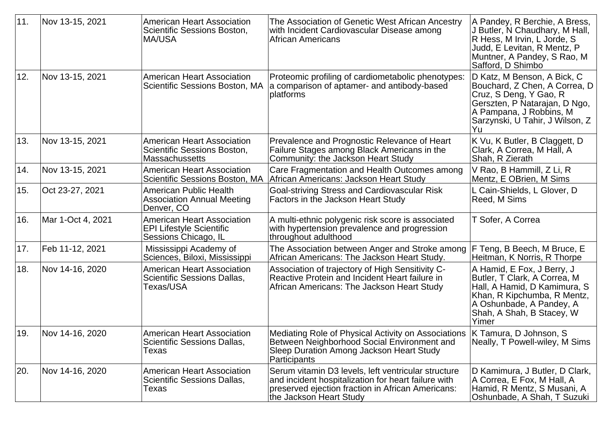| 11. | Nov 13-15, 2021   | American Heart Association<br>Scientific Sessions Boston,<br> MA/USA                         | The Association of Genetic West African Ancestry<br>with Incident Cardiovascular Disease among<br>African Americans                                                                        | A Pandey, R Berchie, A Bress,<br>J Butler, N Chaudhary, M Hall,<br>R Hess, M Irvin, L Jorde, S<br>Judd, E Levitan, R Mentz, P<br>Muntner, A Pandey, S Rao, M<br>Safford, D Shimbo           |
|-----|-------------------|----------------------------------------------------------------------------------------------|--------------------------------------------------------------------------------------------------------------------------------------------------------------------------------------------|---------------------------------------------------------------------------------------------------------------------------------------------------------------------------------------------|
| 12. | Nov 13-15, 2021   | American Heart Association<br>Scientific Sessions Boston, MA                                 | Proteomic profiling of cardiometabolic phenotypes:<br>a comparison of aptamer- and antibody-based<br>platforms                                                                             | D Katz, M Benson, A Bick, C<br>Bouchard, Z Chen, A Correa, D<br>Cruz, S Deng, Y Gao, R<br>Gerszten, P Natarajan, D Ngo,<br>A Pampana, J Robbins, M<br>Sarzynski, U Tahir, J Wilson, Z<br>Yu |
| 13. | Nov 13-15, 2021   | American Heart Association<br>Scientific Sessions Boston,<br>Massachussetts                  | Prevalence and Prognostic Relevance of Heart<br>Failure Stages among Black Americans in the<br>Community: the Jackson Heart Study                                                          | K Vu, K Butler, B Claggett, D<br>Clark, A Correa, M Hall, A<br>Shah, R Zierath                                                                                                              |
| 14. | Nov 13-15, 2021   | American Heart Association<br>Scientific Sessions Boston, MA                                 | Care Fragmentation and Health Outcomes among<br>African Americans: Jackson Heart Study                                                                                                     | V Rao, B Hammill, Z Li, R<br>Mentz, E OBrien, M Sims                                                                                                                                        |
| 15. | Oct 23-27, 2021   | American Public Health<br>Association Annual Meeting<br>Denver, CO                           | Goal-striving Stress and Cardiovascular Risk<br><b>Factors in the Jackson Heart Study</b>                                                                                                  | L Cain-Shields, L Glover, D<br>Reed, M Sims                                                                                                                                                 |
| 16. | Mar 1-Oct 4, 2021 | <b>American Heart Association</b><br><b>EPI Lifestyle Scientific</b><br>Sessions Chicago, IL | A multi-ethnic polygenic risk score is associated<br>with hypertension prevalence and progression<br>throughout adulthood                                                                  | T Sofer, A Correa                                                                                                                                                                           |
| 17. | Feb 11-12, 2021   | Mississippi Academy of<br>Sciences, Biloxi, Mississippi                                      | The Association between Anger and Stroke among<br>African Americans: The Jackson Heart Study.                                                                                              | F Teng, B Beech, M Bruce, E<br>Heitman, K Norris, R Thorpe                                                                                                                                  |
| 18. | Nov 14-16, 2020   | <b>American Heart Association</b><br>Scientific Sessions Dallas,<br>Texas/USA                | Association of trajectory of High Sensitivity C-<br>Reactive Protein and Incident Heart failure in<br>African Americans: The Jackson Heart Study                                           | A Hamid, E Fox, J Berry, J<br>Butler, T Clark, A Correa, M<br>Hall, A Hamid, D Kamimura, S<br>Khan, R Kipchumba, R Mentz,<br>A Oshunbade, A Pandey, A<br>Shah, A Shah, B Stacey, W<br>Yimer |
| 19. | Nov 14-16, 2020   | American Heart Association<br>Scientific Sessions Dallas,<br>Texas                           | Mediating Role of Physical Activity on Associations<br>Between Neighborhood Social Environment and<br>Sleep Duration Among Jackson Heart Study<br>Participants                             | K Tamura, D Johnson, S<br>Neally, T Powell-wiley, M Sims                                                                                                                                    |
| 20. | Nov 14-16, 2020   | <b>American Heart Association</b><br>Scientific Sessions Dallas,<br>Texas                    | Serum vitamin D3 levels, left ventricular structure<br>and incident hospitalization for heart failure with<br>preserved ejection fraction in African Americans:<br>the Jackson Heart Study | D Kamimura, J Butler, D Clark,<br>A Correa, E Fox, M Hall, A<br>Hamid, R Mentz, S Musani, A<br>Oshunbade, A Shah, T Suzuki                                                                  |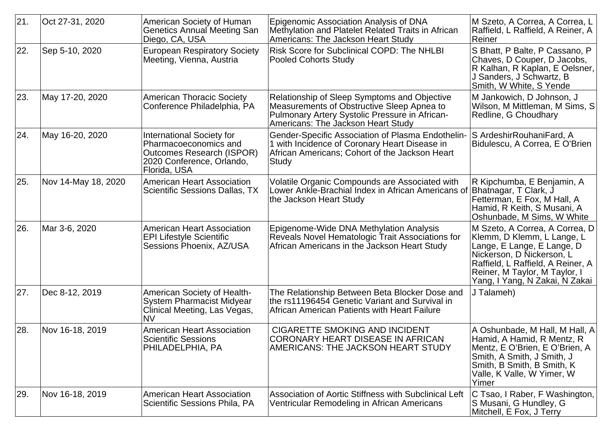| 21. | Oct 27-31, 2020     | American Society of Human<br><b>Genetics Annual Meeting San</b><br>Diego, CA, USA                                                   | Epigenomic Association Analysis of DNA<br>Methylation and Platelet Related Traits in African<br>Americans: The Jackson Heart Study                                                 | M Szeto, A Correa, A Correa, L<br>Raffield, L Raffield, A Reiner, A<br>Reiner                                                                                                                                                   |
|-----|---------------------|-------------------------------------------------------------------------------------------------------------------------------------|------------------------------------------------------------------------------------------------------------------------------------------------------------------------------------|---------------------------------------------------------------------------------------------------------------------------------------------------------------------------------------------------------------------------------|
| 22. | Sep 5-10, 2020      | <b>European Respiratory Society</b><br>Meeting, Vienna, Austria                                                                     | Risk Score for Subclinical COPD: The NHLBI<br><b>Pooled Cohorts Study</b>                                                                                                          | S Bhatt, P Balte, P Cassano, P<br>Chaves, D Couper, D Jacobs,<br>R Kalhan, R Kaplan, E Oelsner,<br>J Sanders, J Schwartz, B<br>Smith, W White, S Yende                                                                          |
| 23. | May 17-20, 2020     | <b>American Thoracic Society</b><br>Conference Philadelphia, PA                                                                     | Relationship of Sleep Symptoms and Objective<br>Measurements of Obstructive Sleep Apnea to<br>Pulmonary Artery Systolic Pressure in African-<br>Americans: The Jackson Heart Study | M Jankowich, D Johnson, J<br>Wilson, M Mittleman, M Sims, S<br>Redline, G Choudhary                                                                                                                                             |
| 24. | May 16-20, 2020     | International Society for<br>Pharmacoeconomics and<br><b>Outcomes Research (ISPOR)</b><br>2020 Conference, Orlando,<br>Florida, USA | Gender-Specific Association of Plasma Endothelin-<br>1 with Incidence of Coronary Heart Disease in<br>African Americans; Cohort of the Jackson Heart<br>Study                      | S ArdeshirRouhaniFard, A<br>Bidulescu, A Correa, E O'Brien                                                                                                                                                                      |
| 25. | Nov 14-May 18, 2020 | <b>American Heart Association</b><br>Scientific Sessions Dallas, TX                                                                 | <b>Volatile Organic Compounds are Associated with</b><br>Lower Ankle-Brachial Index in African Americans of<br>the Jackson Heart Study                                             | R Kipchumba, E Benjamin, A<br>Bhatnagar, T Clark, J<br>Fetterman, E Fox, M Hall, A<br>Hamid, R Keith, S Musani, A<br>Oshunbade, M Sims, W White                                                                                 |
| 26. | Mar 3-6, 2020       | <b>American Heart Association</b><br><b>EPI Lifestyle Scientific</b><br>Sessions Phoenix, AZ/USA                                    | Epigenome-Wide DNA Methylation Analysis<br>Reveals Novel Hematologic Trait Associations for<br>African Americans in the Jackson Heart Study                                        | M Szeto, A Correa, A Correa, D<br>Klemm, D Klemm, L Lange, L<br>Lange, E Lange, E Lange, D<br>Nickerson, D Nickerson, L<br>Raffield, L Raffield, A Reiner, A<br>Reiner, M Taylor, M Taylor, I<br>Yang, I Yang, N Zakai, N Zakai |
| 27. | Dec 8-12, 2019      | American Society of Health-<br><b>System Pharmacist Midyear</b><br>Clinical Meeting, Las Vegas,<br><b>NV</b>                        | The Relationship Between Beta Blocker Dose and<br>the rs11196454 Genetic Variant and Survival in<br>African American Patients with Heart Failure                                   | J Talameh)                                                                                                                                                                                                                      |
| 28. | Nov 16-18, 2019     | <b>American Heart Association</b><br><b>Scientific Sessions</b><br>PHILADELPHIA, PA                                                 | <b>CIGARETTE SMOKING AND INCIDENT</b><br>CORONARY HEART DISEASE IN AFRICAN<br>AMERICANS: THE JACKSON HEART STUDY                                                                   | A Oshunbade, M Hall, M Hall, A<br>Hamid, A Hamid, R Mentz, R<br>Mentz, E O'Brien, E O'Brien, A<br>Smith, A Smith, J Smith, J<br>Smith, B Smith, B Smith, K<br>Valle, K Valle, W Yimer, W<br>Yimer                               |
| 29. | Nov 16-18, 2019     | <b>American Heart Association</b><br>Scientific Sessions Phila, PA                                                                  | Association of Aortic Stiffness with Subclinical Left<br>Ventricular Remodeling in African Americans                                                                               | C Tsao, I Raber, F Washington,<br>S Musani, G Hundley, G<br>Mitchell, E Fox, J Terry                                                                                                                                            |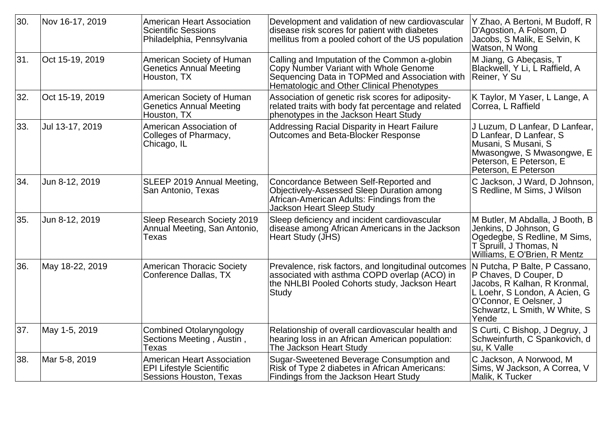| 30. | Nov 16-17, 2019 | <b>American Heart Association</b><br><b>Scientific Sessions</b><br>Philadelphia, Pennsylvania   | Development and validation of new cardiovascular<br>disease risk scores for patient with diabetes<br>mellitus from a pooled cohort of the US population                               | Y Zhao, A Bertoni, M Budoff, R<br>D'Agostion, A Folsom, D<br>Jacobs, S Malik, E Selvin, K<br>Watson, N Wong                                                                                 |
|-----|-----------------|-------------------------------------------------------------------------------------------------|---------------------------------------------------------------------------------------------------------------------------------------------------------------------------------------|---------------------------------------------------------------------------------------------------------------------------------------------------------------------------------------------|
| 31. | Oct 15-19, 2019 | American Society of Human<br><b>Genetics Annual Meeting</b><br>Houston, TX                      | Calling and Imputation of the Common a-globin<br>Copy Number Variant with Whole Genome<br>Sequencing Data in TOPMed and Association with<br>Hematologic and Other Clinical Phenotypes | M Jiang, G Abeçasis, T<br>Blackwell, Y Li, L Raffield, A<br>Reiner, Y Su                                                                                                                    |
| 32. | Oct 15-19, 2019 | American Society of Human<br><b>Genetics Annual Meeting</b><br>Houston, TX                      | Association of genetic risk scores for adiposity-<br>related traits with body fat percentage and related<br>phenotypes in the Jackson Heart Study                                     | K Taylor, M Yaser, L Lange, A<br>Correa, L Raffield                                                                                                                                         |
| 33. | Jul 13-17, 2019 | American Association of<br>Colleges of Pharmacy,<br>Chicago, IL                                 | Addressing Racial Disparity in Heart Failure<br>Outcomes and Beta-Blocker Response                                                                                                    | J Luzum, D Lanfear, D Lanfear,  <br>D Lanfear, D Lanfear, S<br>Musani, S Musani, S<br>Mwasongwe, S Mwasongwe, E<br>Peterson, E Peterson, E<br>Peterson, E Peterson                          |
| 34. | Jun 8-12, 2019  | SLEEP 2019 Annual Meeting,<br>San Antonio, Texas                                                | Concordance Between Self-Reported and<br><b>Objectively-Assessed Sleep Duration among</b><br>African-American Adults: Findings from the<br><b>Jackson Heart Sleep Study</b>           | C Jackson, J Ward, D Johnson,<br>S Redline, M Sims, J Wilson                                                                                                                                |
| 35. | Jun 8-12, 2019  | Sleep Research Society 2019<br>Annual Meeting, San Antonio,<br>Texas                            | Sleep deficiency and incident cardiovascular<br>disease among African Americans in the Jackson<br>Heart Study (JHS)                                                                   | M Butler, M Abdalla, J Booth, B<br>Jenkins, D Johnson, G<br>Ogedegbe, S Redline, M Sims,<br>T Spruill, J Thomas, N<br>Williams, E O'Brien, R Mentz                                          |
| 36. | May 18-22, 2019 | <b>American Thoracic Society</b><br><b>Conference Dallas, TX</b>                                | Prevalence, risk factors, and longitudinal outcomes<br>associated with asthma COPD overlap (ACO) in<br>the NHLBI Pooled Cohorts study, Jackson Heart<br>Study                         | N Putcha, P Balte, P Cassano,<br>P Chaves, D Couper, D<br>Jacobs, R Kalhan, R Kronmal,<br>L Loehr, S London, A Acien, G<br>O'Connor, E Oelsner, J<br>Schwartz, L Smith, W White, S<br>Yende |
| 37. | May 1-5, 2019   | <b>Combined Otolaryngology</b><br>Sections Meeting, Austin,<br>Texas                            | Relationship of overall cardiovascular health and<br>hearing loss in an African American population:<br>The Jackson Heart Study                                                       | S Curti, C Bishop, J Degruy, J<br>Schweinfurth, C Spankovich, d<br>su, K Valle                                                                                                              |
| 38. | Mar 5-8, 2019   | <b>American Heart Association</b><br><b>EPI Lifestyle Scientific</b><br>Sessions Houston, Texas | Sugar-Sweetened Beverage Consumption and<br>Risk of Type 2 diabetes in African Americans:<br>Findings from the Jackson Heart Study                                                    | C Jackson, A Norwood, M<br>Sims, W Jackson, A Correa, V<br>Malik, K Tucker                                                                                                                  |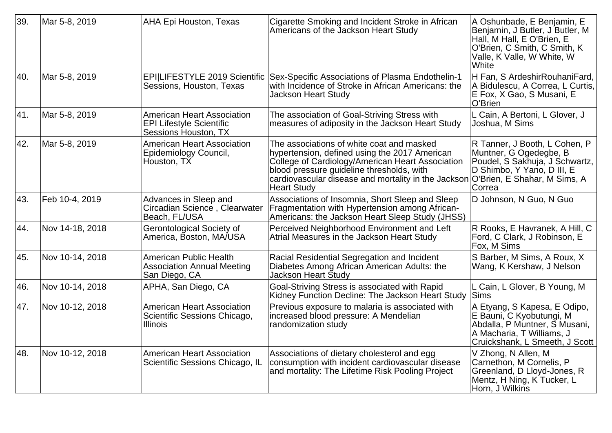| 39. | Mar 5-8, 2019   | <b>AHA Epi Houston, Texas</b>                                                                | Cigarette Smoking and Incident Stroke in African<br>Americans of the Jackson Heart Study                                                                                                                                                                                 | A Oshunbade, E Benjamin, E<br>Benjamin, J Butler, J Butler, M<br>Hall, M Hall, E O'Brien, E<br>O'Brien, C Smith, C Smith, K<br>Valle, K Valle, W White, W<br>White |
|-----|-----------------|----------------------------------------------------------------------------------------------|--------------------------------------------------------------------------------------------------------------------------------------------------------------------------------------------------------------------------------------------------------------------------|--------------------------------------------------------------------------------------------------------------------------------------------------------------------|
| 40. | Mar 5-8, 2019   | <b>EPI LIFESTYLE 2019 Scientific</b><br>Sessions, Houston, Texas                             | Sex-Specific Associations of Plasma Endothelin-1<br>with Incidence of Stroke in African Americans: the<br><b>Jackson Heart Study</b>                                                                                                                                     | H Fan, S Ardeshir Rouhani Fard,<br>A Bidulescu, A Correa, L Curtis,<br>E Fox, X Gao, S Musani, E<br>O'Brien                                                        |
| 41. | Mar 5-8, 2019   | <b>American Heart Association</b><br><b>EPI Lifestyle Scientific</b><br>Sessions Houston, TX | The association of Goal-Striving Stress with<br>measures of adiposity in the Jackson Heart Study                                                                                                                                                                         | L Cain, A Bertoni, L Glover, J<br>Joshua, M Sims                                                                                                                   |
| 42. | Mar 5-8, 2019   | <b>American Heart Association</b><br>Epidemiology Council,<br>Houston, TX                    | The associations of white coat and masked<br>hypertension, defined using the 2017 American<br>College of Cardiology/American Heart Association<br>blood pressure guideline thresholds, with<br>cardiovascular disease and mortality in the Jackson<br><b>Heart Study</b> | R Tanner, J Booth, L Cohen, P<br>Muntner, G Ogedegbe, B<br>Poudel, S Sakhuja, J Schwartz,<br>D Shimbo, Y Yano, D III, E<br>O'Brien, E Shahar, M Sims, A<br>Correa  |
| 43. | Feb 10-4, 2019  | Advances in Sleep and<br>Circadian Science, Clearwater<br>Beach, FL/USA                      | Associations of Insomnia, Short Sleep and Sleep<br>Fragmentation with Hypertension among African-<br>Americans: the Jackson Heart Sleep Study (JHSS)                                                                                                                     | D Johnson, N Guo, N Guo                                                                                                                                            |
| 44. | Nov 14-18, 2018 | Gerontological Society of<br>America, Boston, MA/USA                                         | Perceived Neighborhood Environment and Left<br>Atrial Measures in the Jackson Heart Study                                                                                                                                                                                | R Rooks, E Havranek, A Hill, C<br>Ford, C Clark, J Robinson, E<br>Fox, M Sims                                                                                      |
| 45. | Nov 10-14, 2018 | American Public Health<br><b>Association Annual Meeting</b><br>San Diego, CA                 | Racial Residential Segregation and Incident<br>Diabetes Among African American Adults: the<br>Jackson Heart Študv                                                                                                                                                        | S Barber, M Sims, A Roux, X<br>Wang, K Kershaw, J Nelson                                                                                                           |
| 46. | Nov 10-14, 2018 | APHA, San Diego, CA                                                                          | Goal-Striving Stress is associated with Rapid<br>Kidney Function Decline: The Jackson Heart Study                                                                                                                                                                        | L Cain, L Glover, B Young, M<br><b>Sims</b>                                                                                                                        |
| 47. | Nov 10-12, 2018 | American Heart Association<br>Scientific Sessions Chicago,<br><b>Illinois</b>                | Previous exposure to malaria is associated with<br>increased blood pressure: A Mendelian<br>randomization study                                                                                                                                                          | A Etyang, S Kapesa, E Odipo,<br>E Bauni, C Kyobutungi, M<br>Abdalla, P Muntner, S Musani,<br>A Macharia, T Williams, J<br>Cruickshank, L Smeeth, J Scott           |
| 48. | Nov 10-12, 2018 | American Heart Association<br>Scientific Sessions Chicago, IL                                | Associations of dietary cholesterol and egg<br>consumption with incident cardiovascular disease<br>and mortality: The Lifetime Risk Pooling Project                                                                                                                      | V Zhong, N Allen, M<br>Carnethon, M Cornelis, P<br>Greenland, D Lloyd-Jones, R<br>Mentz, H Ning, K Tucker, L<br>Horn, J Wilkins                                    |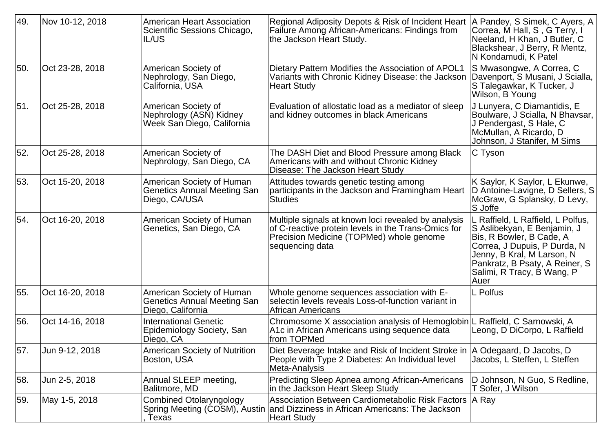| 49. | Nov 10-12, 2018 | <b>American Heart Association</b><br>Scientific Sessions Chicago,<br><b>IL/US</b>    | Regional Adiposity Depots & Risk of Incident Heart<br><b>Failure Among African-Americans: Findings from</b><br>the Jackson Heart Study.                                   | A Pandey, S Simek, C Ayers, A<br>Correa, M Hall, S, G Terry, I<br>Neeland, H Khan, J Butler, C<br>Blackshear, J Berry, R Mentz,<br>N Kondamudi, K Patel                                                                            |
|-----|-----------------|--------------------------------------------------------------------------------------|---------------------------------------------------------------------------------------------------------------------------------------------------------------------------|------------------------------------------------------------------------------------------------------------------------------------------------------------------------------------------------------------------------------------|
| 50. | Oct 23-28, 2018 | American Society of<br>Nephrology, San Diego,<br>California, USA                     | Dietary Pattern Modifies the Association of APOL1<br>Variants with Chronic Kidney Disease: the Jackson<br><b>Heart Study</b>                                              | S Mwasongwe, A Correa, C<br>Davenport, S Musani, J Scialla,<br>S Talegawkar, K Tucker, J<br>Wilson, B Young                                                                                                                        |
| 51. | Oct 25-28, 2018 | American Society of<br>Nephrology (ASN) Kidney<br>Week San Diego, California         | Evaluation of allostatic load as a mediator of sleep<br>and kidney outcomes in black Americans                                                                            | J Lunyera, C Diamantidis, E<br>Boulware, J Scialla, N Bhavsar,<br>J Pendergast, S Hale, C<br>McMullan, A Ricardo, D<br>Johnson, J Stanifer, M Sims                                                                                 |
| 52. | Oct 25-28, 2018 | American Society of<br>Nephrology, San Diego, CA                                     | The DASH Diet and Blood Pressure among Black<br>Americans with and without Chronic Kidney<br>Disease: The Jackson Heart Study                                             | C Tyson                                                                                                                                                                                                                            |
| 53. | Oct 15-20, 2018 | American Society of Human<br><b>Genetics Annual Meeting San</b><br>Diego, CA/USA     | Attitudes towards genetic testing among<br>participants in the Jackson and Framingham Heart<br><b>Studies</b>                                                             | K Saylor, K Saylor, L Ekunwe,<br>D Antoine-Lavigne, D Sellers, S<br>McGraw, G Splansky, D Levy,<br>S Joffe                                                                                                                         |
| 54. | Oct 16-20, 2018 | American Society of Human<br>Genetics, San Diego, CA                                 | Multiple signals at known loci revealed by analysis<br>of C-reactive protein levels in the Trans-Omics for<br>Precision Medicine (TOPMed) whole genome<br>sequencing data | L Raffield, L Raffield, L Polfus,<br>S Aslibekyan, E Benjamin, J<br>Bis, R Bowler, B Cade, A<br>Correa, J Dupuis, P Durda, N<br>Jenny, B Kral, M Larson, N<br>Pankratz, B Psaty, A Reiner, S<br>Salimi, R Tracy, B Wang, P<br>Auer |
| 55. | Oct 16-20, 2018 | American Society of Human<br><b>Genetics Annual Meeting San</b><br>Diego, California | Whole genome sequences association with E-<br>selectin levels reveals Loss-of-function variant in<br>African Americans                                                    | L Polfus                                                                                                                                                                                                                           |
| 56. | Oct 14-16, 2018 | <b>International Genetic</b><br>Epidemiology Society, San<br>Diego, CA               | Chromosome X association analysis of Hemoglobin<br>A1c in African Americans using sequence data<br>from TOPMed                                                            | L Raffield, C Sarnowski, A<br>Leong, D DiCorpo, L Raffield                                                                                                                                                                         |
| 57. | Jun 9-12, 2018  | <b>American Society of Nutrition</b><br>Boston, USA                                  | Diet Beverage Intake and Risk of Incident Stroke in<br>People with Type 2 Diabetes: An Individual level<br>Meta-Analysis                                                  | A Odegaard, D Jacobs, D<br>Jacobs, L Steffen, L Steffen                                                                                                                                                                            |
| 58. | Jun 2-5, 2018   | Annual SLEEP meeting,<br>Balitmore, MD                                               | <b>Predicting Sleep Apnea among African-Americans</b><br>in the Jackson Heart Sleep Study                                                                                 | D Johnson, N Guo, S Redline,<br>T Sofer, J Wilson                                                                                                                                                                                  |
| 59. | May 1-5, 2018   | <b>Combined Otolaryngology</b><br>Spring Meeting (COSM), Austin<br>Texas             | Association Between Cardiometabolic Risk Factors   A Ray<br>and Dizziness in African Americans: The Jackson<br>Heart Study                                                |                                                                                                                                                                                                                                    |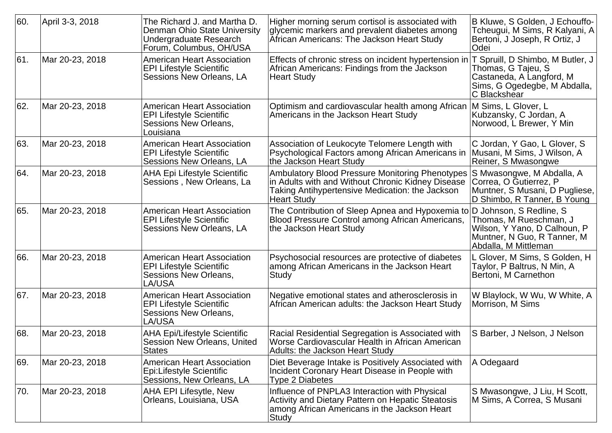| 60. | April 3-3, 2018 | The Richard J. and Martha D.<br>Denman Ohio State University<br><b>Undergraduate Research</b><br>Forum, Columbus, OH/USA | Higher morning serum cortisol is associated with<br>glycemic markers and prevalent diabetes among<br>African Americans: The Jackson Heart Study                                      | B Kluwe, S Golden, J Echouffo-<br>Tcheugui, M Sims, R Kalyani, A<br>Bertoni, J Joseph, R Ortiz, J<br>Odei                          |
|-----|-----------------|--------------------------------------------------------------------------------------------------------------------------|--------------------------------------------------------------------------------------------------------------------------------------------------------------------------------------|------------------------------------------------------------------------------------------------------------------------------------|
| 61. | Mar 20-23, 2018 | <b>American Heart Association</b><br><b>EPI Lifestyle Scientific</b><br>Sessions New Orleans, LA                         | Effects of chronic stress on incident hypertension in<br>African Americans: Findings from the Jackson<br><b>Heart Study</b>                                                          | T Spruill, D Shimbo, M Butler, J<br>Thomas, G Tajeu, S<br>Castaneda, A Langford, M<br>Sims, G Ogedegbe, M Abdalla,<br>C Blackshear |
| 62. | Mar 20-23, 2018 | <b>American Heart Association</b><br><b>EPI Lifestyle Scientific</b><br>Sessions New Orleans,<br>Louisiana               | Optimism and cardiovascular health among African<br>Americans in the Jackson Heart Study                                                                                             | M Sims, L Glover, L<br>Kubzansky, C Jordan, A<br>Norwood, L Brewer, Y Min                                                          |
| 63. | Mar 20-23, 2018 | <b>American Heart Association</b><br><b>EPI Lifestyle Scientific</b><br>Sessions New Orleans, LA                         | Association of Leukocyte Telomere Length with<br>Psychological Factors among African Americans in<br>the Jackson Heart Study                                                         | C Jordan, Y Gao, L Glover, S<br>Musani, M Sims, J Wilson, A<br>Reiner, S Mwasongwe                                                 |
| 64. | Mar 20-23, 2018 | <b>AHA Epi Lifestyle Scientific</b><br>Sessions, New Orleans, La                                                         | <b>Ambulatory Blood Pressure Monitoring Phenotypes</b><br>in Adults with and Without Chronic Kidney Disease<br>Taking Antihypertensive Medication: the Jackson<br><b>Heart Study</b> | S Mwasongwe, M Abdalla, A<br>Correa, O Gutierrez, P<br>Muntner, S Musani, D Pugliese,<br>D Shimbo, R Tanner, B Young               |
| 65. | Mar 20-23, 2018 | <b>American Heart Association</b><br><b>EPI Lifestyle Scientific</b><br>Sessions New Orleans, LA                         | The Contribution of Sleep Apnea and Hypoxemia to D Johnson, S Redline, S<br>Blood Pressure Control among African Americans,<br>the Jackson Heart Study                               | Thomas, M Rueschman, J<br>Wilson, Y Yano, D Calhoun, P<br>Muntner, N Guo, R Tanner, M<br>Abdalla, M Mittleman                      |
| 66. | Mar 20-23, 2018 | <b>American Heart Association</b><br><b>EPI Lifestyle Scientific</b><br>Sessions New Orleans,<br>LA/USA                  | Psychosocial resources are protective of diabetes<br>among African Americans in the Jackson Heart<br><b>Study</b>                                                                    | L Glover, M Sims, S Golden, H<br>Taylor, P Baltrus, N Min, A<br>Bertoni, M Carnethon                                               |
| 67. | Mar 20-23, 2018 | <b>American Heart Association</b><br><b>EPI Lifestyle Scientific</b><br>Sessions New Orleans,<br>LA/USA                  | Negative emotional states and atherosclerosis in<br>African American adults: the Jackson Heart Study                                                                                 | W Blaylock, W Wu, W White, A<br>Morrison, M Sims                                                                                   |
| 68. | Mar 20-23, 2018 | <b>AHA Epi/Lifestyle Scientific</b><br>Session New Orleans, United<br><b>States</b>                                      | Racial Residential Segregation is Associated with<br>Worse Cardiovascular Health in African American<br><b>Adults: the Jackson Heart Study</b>                                       | S Barber, J Nelson, J Nelson                                                                                                       |
| 69. | Mar 20-23, 2018 | <b>American Heart Association</b><br>Epi:Lifestyle Scientific<br>Sessions, New Orleans, LA                               | Diet Beverage Intake is Positively Associated with<br>Incident Coronary Heart Disease in People with<br><b>Type 2 Diabetes</b>                                                       | A Odegaard                                                                                                                         |
| 70. | Mar 20-23, 2018 | <b>AHA EPI Lifesytle, New</b><br>Orleans, Louisiana, USA                                                                 | Influence of PNPLA3 Interaction with Physical<br><b>Activity and Dietary Pattern on Hepatic Steatosis</b><br>among African Americans in the Jackson Heart<br><b>Study</b>            | S Mwasongwe, J Liu, H Scott,<br>M Sims, A Correa, S Musani                                                                         |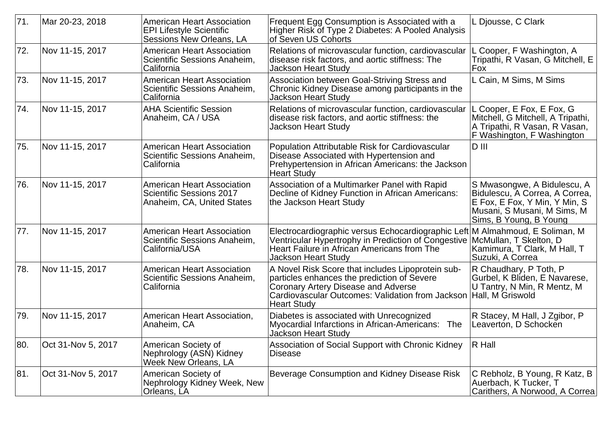| 71.  | Mar 20-23, 2018    | <b>American Heart Association</b><br><b>EPI Lifestyle Scientific</b><br>Sessions New Orleans, LA   | Frequent Egg Consumption is Associated with a<br>Higher Risk of Type 2 Diabetes: A Pooled Analysis<br>of Seven US Cohorts                                                                                                                   | L Djousse, C Clark                                                                                                                                      |
|------|--------------------|----------------------------------------------------------------------------------------------------|---------------------------------------------------------------------------------------------------------------------------------------------------------------------------------------------------------------------------------------------|---------------------------------------------------------------------------------------------------------------------------------------------------------|
| 72.  | Nov 11-15, 2017    | <b>American Heart Association</b><br>Scientific Sessions Anaheim,<br>California                    | Relations of microvascular function, cardiovascular<br>disease risk factors, and aortic stiffness: The<br><b>Jackson Heart Study</b>                                                                                                        | L Cooper, F Washington, A<br>Tripathi, R Vasan, G Mitchell, E<br>Fox                                                                                    |
| 73.  | Nov 11-15, 2017    | <b>American Heart Association</b><br>Scientific Sessions Anaheim,<br>California                    | Association between Goal-Striving Stress and<br>Chronic Kidney Disease among participants in the<br>Jackson Heart Study                                                                                                                     | L Cain, M Sims, M Sims                                                                                                                                  |
| 74.  | Nov 11-15, 2017    | <b>AHA Scientific Session</b><br>Anaheim, CA / USA                                                 | Relations of microvascular function, cardiovascular<br>disease risk factors, and aortic stiffness: the<br><b>Jackson Heart Study</b>                                                                                                        | L Cooper, E Fox, E Fox, G<br>Mitchell, G Mitchell, A Tripathi,<br>A Tripathi, R Vasan, R Vasan,<br>F Washington, F Washington                           |
| 75.  | Nov 11-15, 2017    | <b>American Heart Association</b><br>Scientific Sessions Anaheim,<br>California                    | Population Attributable Risk for Cardiovascular<br>Disease Associated with Hypertension and<br>Prehypertension in African Americans: the Jackson<br><b>Heart Study</b>                                                                      | D III                                                                                                                                                   |
| 176. | Nov 11-15, 2017    | <b>American Heart Association</b><br><b>Scientific Sessions 2017</b><br>Anaheim, CA, United States | Association of a Multimarker Panel with Rapid<br>Decline of Kidney Function in African Americans:<br>the Jackson Heart Study                                                                                                                | S Mwasongwe, A Bidulescu, A<br>Bidulescu, A Correa, A Correa,<br>E Fox, E Fox, Y Min, Y Min, S<br>Musani, S Musani, M Sims, M<br>Sims, B Young, B Young |
| 77.  | Nov 11-15, 2017    | <b>American Heart Association</b><br>Scientific Sessions Anaheim,<br>California/USA                | Electrocardiographic versus Echocardiographic Left M Almahmoud, E Soliman, M<br>Ventricular Hypertrophy in Prediction of Congestive<br>Heart Failure in African Americans from The<br><b>Jackson Heart Study</b>                            | McMullan, T Skelton, D<br>Kamimura, T Clark, M Hall, T<br>Suzuki, A Correa                                                                              |
| 78.  | Nov 11-15, 2017    | <b>American Heart Association</b><br>Scientific Sessions Anaheim,<br>California                    | A Novel Risk Score that includes Lipoprotein sub-<br>particles enhances the prediction of Severe<br><b>Coronary Artery Disease and Adverse</b><br>Cardiovascular Outcomes: Validation from Jackson   Hall, M Griswold<br><b>Heart Study</b> | R Chaudhary, P Toth, P<br>Gurbel, K Bliden, E Navarese,<br>U Tantry, N Min, R Mentz, M                                                                  |
| 79.  | Nov 11-15, 2017    | American Heart Association,<br>Anaheim, CA                                                         | Diabetes is associated with Unrecognized<br>Myocardial Infarctions in African-Americans: The<br>Jackson Heart Study                                                                                                                         | R Stacey, M Hall, J Zgibor, P<br>Leaverton, D Schocken                                                                                                  |
| 80.  | Oct 31-Nov 5, 2017 | American Society of<br>Nephrology (ASN) Kidney<br>Week New Orleans, LA                             | Association of Social Support with Chronic Kidney<br><b>Disease</b>                                                                                                                                                                         | <b>R</b> Hall                                                                                                                                           |
| 81.  | Oct 31-Nov 5, 2017 | American Society of<br>Nephrology Kidney Week, New<br>Orleans, LA                                  | Beverage Consumption and Kidney Disease Risk                                                                                                                                                                                                | C Rebholz, B Young, R Katz, B<br>Auerbach, K Tucker, T<br>Carithers, A Norwood, A Correa                                                                |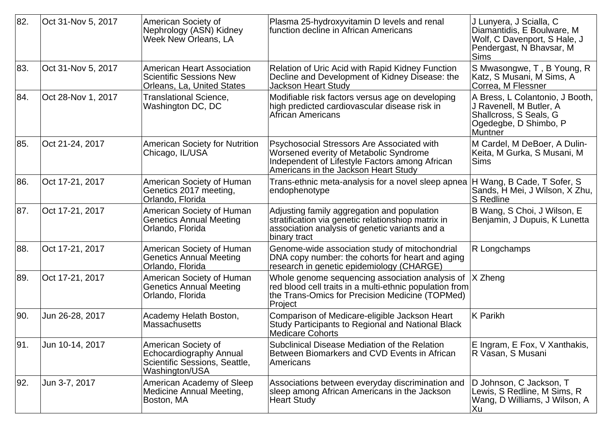| 82.  | Oct 31-Nov 5, 2017 | American Society of<br>Nephrology (ASN) Kidney<br><b>Week New Orleans, LA</b>                     | Plasma 25-hydroxyvitamin D levels and renal<br>function decline in African Americans                                                                                           | J Lunyera, J Scialla, C<br>Diamantidis, E Boulware, M<br>Wolf, C Davenport, S Hale, J<br>Pendergast, N Bhavsar, M<br><b>Sims</b> |
|------|--------------------|---------------------------------------------------------------------------------------------------|--------------------------------------------------------------------------------------------------------------------------------------------------------------------------------|----------------------------------------------------------------------------------------------------------------------------------|
| 83.  | Oct 31-Nov 5, 2017 | American Heart Association<br>Scientific Sessions New<br><b>Orleans, La, United States</b>        | Relation of Uric Acid with Rapid Kidney Function<br>Decline and Development of Kidney Disease: the<br><b>Jackson Heart Study</b>                                               | S Mwasongwe, T, B Young, R<br>Katz, S Musani, M Sims, A<br>Correa, M Flessner                                                    |
| 84.  | Oct 28-Nov 1, 2017 | <b>Translational Science,</b><br>Washington DC, DC                                                | Modifiable risk factors versus age on developing<br>high predicted cardiovascular disease risk in<br>African Americans                                                         | A Bress, L Colantonio, J Booth,<br>J Ravenell, M Butler, A<br>Shallcross, S Seals, G<br>Ogedegbe, D Shimbo, P<br><b>Muntner</b>  |
| 85.  | Oct 21-24, 2017    | <b>American Society for Nutrition</b><br>Chicago, IL/USA                                          | Psychosocial Stressors Are Associated with<br>Worsened everity of Metabolic Syndrome<br>Independent of Lifestyle Factors among African<br>Americans in the Jackson Heart Studv | M Cardel, M DeBoer, A Dulin-<br>Keita, M Gurka, S Musani, M<br><b>Sims</b>                                                       |
| 86.  | Oct 17-21, 2017    | American Society of Human<br>Genetics 2017 meeting,<br>Orlando, Florida                           | Trans-ethnic meta-analysis for a novel sleep apnea<br>endophenotype                                                                                                            | H Wang, B Cade, T Sofer, S<br>Sands, H Mei, J Wilson, X Zhu,<br><b>S</b> Redline                                                 |
| 87.  | Oct 17-21, 2017    | American Society of Human<br><b>Genetics Annual Meeting</b><br>Orlando, Florida                   | Adjusting family aggregation and population<br>stratification via genetic relationshiop matrix in<br>association analysis of genetic variants and a<br>binary tract            | B Wang, S Choi, J Wilson, E<br>Benjamin, J Dupuis, K Lunetta                                                                     |
| 88.  | Oct 17-21, 2017    | American Society of Human<br><b>Genetics Annual Meeting</b><br>Orlando, Florida                   | Genome-wide association study of mitochondrial<br>DNA copy number: the cohorts for heart and aging<br>research in genetic epidemiology (CHARGE)                                | R Longchamps                                                                                                                     |
| 89.  | Oct 17-21, 2017    | American Society of Human<br><b>Genetics Annual Meeting</b><br>Orlando, Florida                   | Whole genome sequencing association analysis of<br>red blood cell traits in a multi-ethnic population from<br>the Trans-Omics for Precision Medicine (TOPMed)<br>Project       | X Zheng                                                                                                                          |
| 90.  | Jun 26-28, 2017    | Academy Helath Boston,<br>Massachusetts                                                           | Comparison of Medicare-eligible Jackson Heart<br>Study Participants to Regional and National Black<br><b>Medicare Cohorts</b>                                                  | <b>K</b> Parikh                                                                                                                  |
| ∣91. | Jun 10-14, 2017    | American Society of<br>Echocardiography Annual<br>Scientific Sessions, Seattle,<br>Washington/USA | Subclinical Disease Mediation of the Relation<br>Between Biomarkers and CVD Events in African<br>Americans                                                                     | E Ingram, E Fox, V Xanthakis,<br>R Vasan, S Musani                                                                               |
| 92.  | Jun 3-7, 2017      | American Academy of Sleep<br>Medicine Annual Meeting,<br>Boston, MA                               | Associations between everyday discrimination and<br>sleep among African Americans in the Jackson<br><b>Heart Study</b>                                                         | D Johnson, C Jackson, T<br>Lewis, S Redline, M Sims, R<br>Wang, D Williams, J Wilson, A<br>Xu                                    |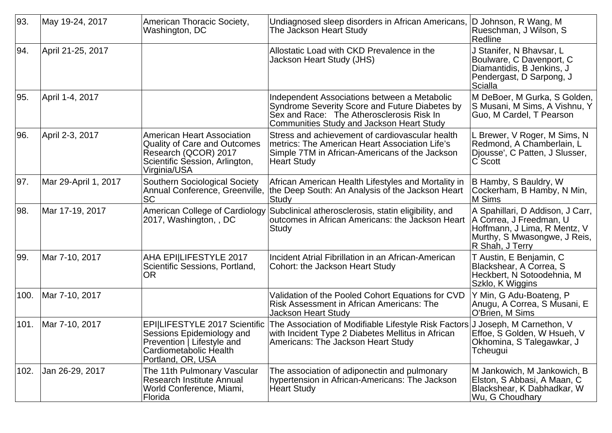| 93.  | May 19-24, 2017      | American Thoracic Society,<br>Washington, DC                                                                                                       | Undiagnosed sleep disorders in African Americans,<br>The Jackson Heart Study                                                                                                             | D Johnson, R Wang, M<br>Rueschman, J Wilson, S<br>Redline                                                                                      |
|------|----------------------|----------------------------------------------------------------------------------------------------------------------------------------------------|------------------------------------------------------------------------------------------------------------------------------------------------------------------------------------------|------------------------------------------------------------------------------------------------------------------------------------------------|
| 94.  | April 21-25, 2017    |                                                                                                                                                    | Allostatic Load with CKD Prevalence in the<br>Jackson Heart Study (JHS)                                                                                                                  | J Stanifer, N Bhavsar, L<br>Boulware, C Davenport, C<br>Diamantidis, B Jenkins, J<br>Pendergast, D Sarpong, J<br>Scialla                       |
| 95.  | April 1-4, 2017      |                                                                                                                                                    | Independent Associations between a Metabolic<br>Syndrome Severity Score and Future Diabetes by<br>Sex and Race: The Atherosclerosis Risk In<br>Communities Study and Jackson Heart Study | M DeBoer, M Gurka, S Golden,<br>S Musani, M Sims, A Vishnu, Y<br>Guo, M Cardel, T Pearson                                                      |
| 96.  | April 2-3, 2017      | <b>American Heart Association</b><br><b>Quality of Care and Outcomes</b><br>Research (QCOR) 2017<br>Scientific Session, Arlington,<br>Virginia/USA | Stress and achievement of cardiovascular health<br>metrics: The American Heart Association Life's<br>Simple 7TM in African-Americans of the Jackson<br><b>Heart Study</b>                | L Brewer, V Roger, M Sims, N<br>Redmond, A Chamberlain, L<br>Djousse', C Patten, J Slusser,<br>C Scott                                         |
| 97.  | Mar 29-April 1, 2017 | <b>Southern Sociological Society</b><br>Annual Conference, Greenville,<br><b>SC</b>                                                                | African American Health Lifestyles and Mortality in<br>the Deep South: An Analysis of the Jackson Heart<br>Study                                                                         | B Hamby, S Bauldry, W<br>Cockerham, B Hamby, N Min,<br>M Sims                                                                                  |
| 98.  | Mar 17-19, 2017      | American College of Cardiology<br>2017, Washington, , DC                                                                                           | Subclinical atherosclerosis, statin eligibility, and<br>outcomes in African Americans: the Jackson Heart<br>Study                                                                        | A Spahillari, D Addison, J Carr,<br>A Correa, J Freedman, U<br>Hoffmann, J Lima, R Mentz, V<br>Murthy, S Mwasongwe, J Reis,<br>R Shah, J Terry |
| 99.  | Mar 7-10, 2017       | AHA EPI LIFESTYLE 2017<br>Scientific Sessions, Portland,<br><b>OR</b>                                                                              | Incident Atrial Fibrillation in an African-American<br><b>Cohort: the Jackson Heart Study</b>                                                                                            | T Austin, E Benjamin, C<br>Blackshear, A Correa, S<br>Heckbert, N Sotoodehnia, M<br>Szklo, K Wiggins                                           |
| 100. | Mar 7-10, 2017       |                                                                                                                                                    | Validation of the Pooled Cohort Equations for CVD<br>Risk Assessment in African Americans: The<br><b>Jackson Heart Study</b>                                                             | Y Min, G Adu-Boateng, P<br>Anugu, A Correa, S Musani, E<br>O'Brien, M Sims                                                                     |
| 101. | Mar 7-10, 2017       | <b>EPI LIFESTYLE 2017 Scientific</b><br>Sessions Epidemiology and<br>Prevention   Lifestyle and<br>Cardiometabolic Health<br>Portland, OR, USA     | The Association of Modifiable Lifestyle Risk Factors<br>with Incident Type 2 Diabetes Mellitus in African<br>Americans: The Jackson Heart Study                                          | J Joseph, M Carnethon, V<br>Effoe, S Golden, W Hsueh, V<br>Okhomina, S Talegawkar, J<br>Tcheugui                                               |
| 102. | Jan 26-29, 2017      | The 11th Pulmonary Vascular<br>Research Institute Annual<br>World Conference, Miami,<br>Florida                                                    | The association of adiponectin and pulmonary<br>hypertension in African-Americans: The Jackson<br><b>Heart Study</b>                                                                     | M Jankowich, M Jankowich, B<br>Elston, S Abbasi, A Maan, C<br>Blackshear, K Dabhadkar, W<br>Wu, G Choudhary                                    |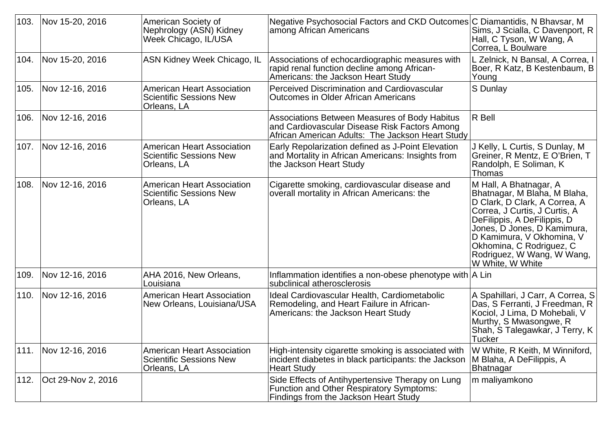| 103. | Nov 15-20, 2016    | American Society of<br>Nephrology (ASN) Kidney<br>Week Chicago, IL/USA             | Negative Psychosocial Factors and CKD Outcomes C Diamantidis, N Bhavsar, M<br>among African Americans                                              | Sims, J Scialla, C Davenport, R<br>Hall, C Tyson, W Wang, A<br>Correa, L Boulware                                                                                                                                                                                                                 |
|------|--------------------|------------------------------------------------------------------------------------|----------------------------------------------------------------------------------------------------------------------------------------------------|---------------------------------------------------------------------------------------------------------------------------------------------------------------------------------------------------------------------------------------------------------------------------------------------------|
| 104. | Nov 15-20, 2016    | <b>ASN Kidney Week Chicago, IL</b>                                                 | Associations of echocardiographic measures with<br>rapid renal function decline among African-<br>Americans: the Jackson Heart Study               | L Zelnick, N Bansal, A Correa, I<br>Boer, R Katz, B Kestenbaum, B<br>Young                                                                                                                                                                                                                        |
| 105. | Nov 12-16, 2016    | <b>American Heart Association</b><br><b>Scientific Sessions New</b><br>Orleans, LA | Perceived Discrimination and Cardiovascular<br><b>Outcomes in Older African Americans</b>                                                          | S Dunlay                                                                                                                                                                                                                                                                                          |
| 106. | Nov 12-16, 2016    |                                                                                    | Associations Between Measures of Body Habitus<br>and Cardiovascular Disease Risk Factors Among<br>African American Adults: The Jackson Heart Study | R Bell                                                                                                                                                                                                                                                                                            |
| 107. | Nov 12-16, 2016    | <b>American Heart Association</b><br><b>Scientific Sessions New</b><br>Orleans, LA | Early Repolarization defined as J-Point Elevation<br>and Mortality in African Americans: Insights from<br>the Jackson Heart Study                  | J Kelly, L Curtis, S Dunlay, M<br>Greiner, R Mentz, E O'Brien, T<br>Randolph, E Soliman, K<br>Thomas                                                                                                                                                                                              |
| 108. | Nov 12-16, 2016    | <b>American Heart Association</b><br><b>Scientific Sessions New</b><br>Orleans, LA | Cigarette smoking, cardiovascular disease and<br>overall mortality in African Americans: the                                                       | M Hall, A Bhatnagar, A<br>Bhatnagar, M Blaha, M Blaha,<br>D Clark, D Clark, A Correa, A<br>Correa, J Curtis, J Curtis, A<br>DeFilippis, A DeFilippis, D<br>Jones, D Jones, D Kamimura,<br>D Kamimura, V Okhomina, V<br>Okhomina, C Rodriguez, C<br>Rodriguez, W Wang, W Wang,<br>W White, W White |
| 109. | Nov 12-16, 2016    | AHA 2016, New Orleans,<br>Louisiana                                                | Inflammation identifies a non-obese phenotype with $ A $ Lin<br>subclinical atherosclerosis                                                        |                                                                                                                                                                                                                                                                                                   |
| 110. | Nov 12-16, 2016    | <b>American Heart Association</b><br>New Orleans, Louisiana/USA                    | Ideal Cardiovascular Health, Cardiometabolic<br>Remodeling, and Heart Failure in African-<br>Americans: the Jackson Heart Study                    | A Spahillari, J Carr, A Correa, S<br>Das, S Ferranti, J Freedman, R<br>Kociol, J Lima, D Mohebali, V<br>Murthy, S Mwasongwe, R<br>Shah, S Talegawkar, J Terry, K<br><b>Tucker</b>                                                                                                                 |
| 111. | Nov 12-16, 2016    | <b>American Heart Association</b><br><b>Scientific Sessions New</b><br>Orleans, LA | High-intensity cigarette smoking is associated with<br>incident diabetes in black participants: the Jackson<br><b>Heart Study</b>                  | W White, R Keith, M Winniford,<br>M Blaha, A DeFilippis, A<br>Bhatnagar                                                                                                                                                                                                                           |
| 112. | Oct 29-Nov 2, 2016 |                                                                                    | Side Effects of Antihypertensive Therapy on Lung<br><b>Function and Other Respiratory Symptoms:</b><br>Findings from the Jackson Heart Study       | m maliyamkono                                                                                                                                                                                                                                                                                     |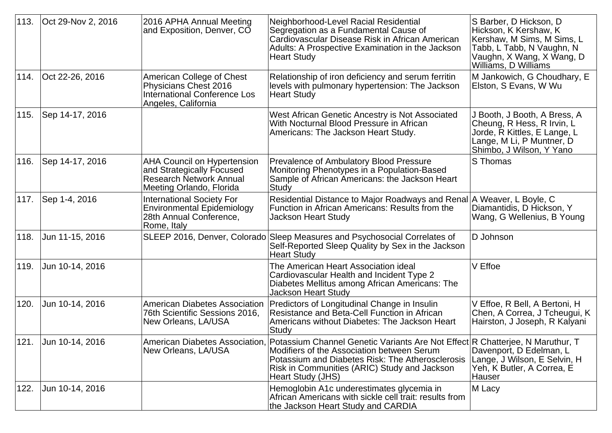| 113. | Oct 29-Nov 2, 2016   | 2016 APHA Annual Meeting<br>and Exposition, Denver, CO                                                                        | Neighborhood-Level Racial Residential<br>Segregation as a Fundamental Cause of<br>Cardiovascular Disease Risk in African American<br>Adults: A Prospective Examination in the Jackson<br><b>Heart Study</b>                                                                                | S Barber, D Hickson, D<br>Hickson, K Kershaw, K<br>Kershaw, M Sims, M Sims, L<br>Tabb, L Tabb, N Vaughn, N<br>Vaughn, X Wang, X Wang, D<br>Williams, D Williams |
|------|----------------------|-------------------------------------------------------------------------------------------------------------------------------|--------------------------------------------------------------------------------------------------------------------------------------------------------------------------------------------------------------------------------------------------------------------------------------------|-----------------------------------------------------------------------------------------------------------------------------------------------------------------|
| 114. | Oct 22-26, 2016      | American College of Chest<br>Physicians Chest 2016<br><b>International Conference Los</b><br>Angeles, California              | Relationship of iron deficiency and serum ferritin<br>levels with pulmonary hypertension: The Jackson<br><b>Heart Study</b>                                                                                                                                                                | M Jankowich, G Choudhary, E<br>Elston, S Evans, W Wu                                                                                                            |
| 115. | Sep 14-17, 2016      |                                                                                                                               | West African Genetic Ancestry is Not Associated<br>With Nocturnal Blood Pressure in African<br>Americans: The Jackson Heart Study.                                                                                                                                                         | J Booth, J Booth, A Bress, A<br>Cheung, R Hess, R Irvin, L<br>Jorde, R Kittles, E Lange, L<br>Lange, M Li, P Muntner, D<br>Shimbo, J Wilson, Y Yano             |
| 116. | Sep 14-17, 2016      | <b>AHA Council on Hypertension</b><br>and Strategically Focused<br><b>Research Network Annual</b><br>Meeting Orlando, Florida | Prevalence of Ambulatory Blood Pressure<br>Monitoring Phenotypes in a Population-Based<br>Sample of African Americans: the Jackson Heart<br>Study                                                                                                                                          | S Thomas                                                                                                                                                        |
| 117. | Sep 1-4, 2016        | <b>International Society For</b><br>Environmental Epidemiology<br>28th Annual Conference,<br>Rome, Italy                      | Residential Distance to Major Roadways and Renal<br>Function in African Americans: Results from the<br><b>Jackson Heart Study</b>                                                                                                                                                          | A Weaver, L Boyle, C<br>Diamantidis, D Hickson, Y<br>Wang, G Wellenius, B Young                                                                                 |
| 118. | Jun 11-15, 2016      |                                                                                                                               | SLEEP 2016, Denver, Colorado Sleep Measures and Psychosocial Correlates of<br>Self-Reported Sleep Quality by Sex in the Jackson<br><b>Heart Study</b>                                                                                                                                      | D Johnson                                                                                                                                                       |
| 119. | Jun 10-14, 2016      |                                                                                                                               | The American Heart Association ideal<br>Cardiovascular Health and Incident Type 2<br>Diabetes Mellitus among African Americans: The<br><b>Jackson Heart Study</b>                                                                                                                          | V Effoe                                                                                                                                                         |
| 120. | Jun 10-14, 2016      | American Diabetes Association<br>76th Scientific Sessions 2016,<br>New Orleans, LA/USA                                        | Predictors of Longitudinal Change in Insulin<br>Resistance and Beta-Cell Function in African<br>Americans without Diabetes: The Jackson Heart<br>Study                                                                                                                                     | V Effoe, R Bell, A Bertoni, H<br>Chen, A Correa, J Tcheugui, K<br>Hairston, J Joseph, R Kalyani                                                                 |
|      | 121. Jun 10-14, 2016 | New Orleans, LA/USA                                                                                                           | American Diabetes Association, <i>Potassium Channel Genetic Variants Are Not Effect</i> R Chatterjee, N Maruthur, T<br>Modifiers of the Association between Serum<br>Potassium and Diabetes Risk: The Atherosclerosis<br>Risk in Communities (ARIC) Study and Jackson<br>Heart Study (JHS) | Davenport, D Edelman, L<br>Lange, J Wilson, E Selvin, H<br>Yeh, K Butler, A Correa, E<br>Hauser                                                                 |
| 122. | Jun 10-14, 2016      |                                                                                                                               | Hemoglobin A1c underestimates glycemia in<br>African Americans with sickle cell trait: results from<br>the Jackson Heart Study and CARDIA                                                                                                                                                  | M Lacy                                                                                                                                                          |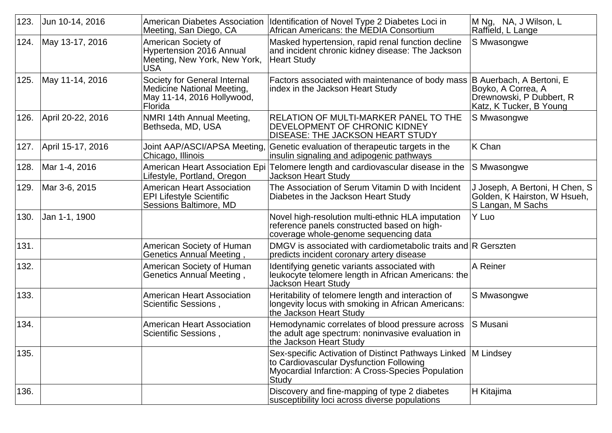| 123. | Jun 10-14, 2016   | <b>American Diabetes Association</b><br>Meeting, San Diego, CA                                             | Identification of Novel Type 2 Diabetes Loci in<br>African Americans: the MEDIA Consortium                                                                               | M Ng, NA, J Wilson, L<br>Raffield, L Lange                                                            |
|------|-------------------|------------------------------------------------------------------------------------------------------------|--------------------------------------------------------------------------------------------------------------------------------------------------------------------------|-------------------------------------------------------------------------------------------------------|
| 124. | May 13-17, 2016   | American Society of<br>Hypertension 2016 Annual<br>Meeting, New York, New York,<br>USA                     | Masked hypertension, rapid renal function decline<br>and incident chronic kidney disease: The Jackson<br>Heart Study                                                     | S Mwasongwe                                                                                           |
| 125. | May 11-14, 2016   | Society for General Internal<br><b>Medicine National Meeting,</b><br>May 11-14, 2016 Hollywood,<br>Florida | Factors associated with maintenance of body mass<br>index in the Jackson Heart Study                                                                                     | B Auerbach, A Bertoni, E<br>Boyko, A Correa, A<br>Drewnowski, P Dubbert, R<br>Katz, K Tucker, B Young |
| 126. | April 20-22, 2016 | NMRI 14th Annual Meeting,<br>Bethseda, MD, USA                                                             | <b>RELATION OF MULTI-MARKER PANEL TO THE</b><br><b>DEVELOPMENT OF CHRONIC KIDNEY</b><br>DISEASE: THE JACKSON HEART STUDY                                                 | S Mwasongwe                                                                                           |
| 127. | April 15-17, 2016 | Joint AAP/ASCI/APSA Meeting,<br>Chicago, Illinois                                                          | Genetic evaluation of therapeutic targets in the<br>insulin signaling and adipogenic pathways                                                                            | K Chan                                                                                                |
| 128. | Mar 1-4, 2016     | <b>American Heart Association Epi</b><br>Lifestyle, Portland, Oregon                                       | Telomere length and cardiovascular disease in the<br><b>Jackson Heart Study</b>                                                                                          | S Mwasongwe                                                                                           |
| 129. | Mar 3-6, 2015     | <b>American Heart Association</b><br><b>EPI Lifestyle Scientific</b><br>Sessions Baltimore, MD             | The Association of Serum Vitamin D with Incident<br>Diabetes in the Jackson Heart Study                                                                                  | J Joseph, A Bertoni, H Chen, S<br>Golden, K Hairston, W Hsueh,<br>S Langan, M Sachs                   |
| 130. | Jan 1-1, 1900     |                                                                                                            | Novel high-resolution multi-ethnic HLA imputation<br>reference panels constructed based on high-<br>coverage whole-genome sequencing data                                | Y Luo                                                                                                 |
| 131. |                   | American Society of Human<br>, Genetics Annual Meeting                                                     | DMGV is associated with cardiometabolic traits and R Gerszten<br>predicts incident coronary artery disease                                                               |                                                                                                       |
| 132. |                   | American Society of Human<br>Genetics Annual Meeting,                                                      | Identifying genetic variants associated with<br>leukocyte telomere length in African Americans: the<br><b>Jackson Heart Study</b>                                        | A Reiner                                                                                              |
| 133. |                   | <b>American Heart Association</b><br>Scientific Sessions,                                                  | Heritability of telomere length and interaction of<br>longevity locus with smoking in African Americans:<br>the Jackson Heart Study                                      | S Mwasongwe                                                                                           |
| 134. |                   | <b>American Heart Association</b><br>Scientific Sessions,                                                  | Hemodynamic correlates of blood pressure across<br>the adult age spectrum: noninvasive evaluation in<br>the Jackson Heart Study                                          | S Musani                                                                                              |
| 135. |                   |                                                                                                            | Sex-specific Activation of Distinct Pathways Linked   M Lindsey<br>to Cardiovascular Dysfunction Following<br>Myocardial Infarction: A Cross-Species Population<br>Study |                                                                                                       |
| 136. |                   |                                                                                                            | Discovery and fine-mapping of type 2 diabetes<br>susceptibility loci across diverse populations                                                                          | H Kitajima                                                                                            |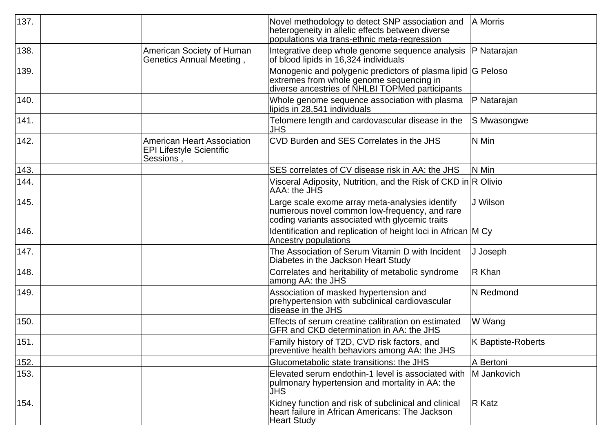| 137. |                                                                                   | Novel methodology to detect SNP association and<br>heterogeneity in allelic effects between diverse<br>populations via trans-ethnic meta-regression        | A Morris           |
|------|-----------------------------------------------------------------------------------|------------------------------------------------------------------------------------------------------------------------------------------------------------|--------------------|
| 138. | American Society of Human<br>Genetics Annual Meeting,                             | Integrative deep whole genome sequence analysis<br>of blood lipids in 16,324 individuals                                                                   | P Natarajan        |
| 139. |                                                                                   | Monogenic and polygenic predictors of plasma lipid G Peloso<br>extremes from whole genome sequencing in<br>diverse ancestries of NHLBI TOPMed participants |                    |
| 140. |                                                                                   | Whole genome sequence association with plasma<br>lipids in 28,541 individuals                                                                              | P Natarajan        |
| 141. |                                                                                   | Telomere length and cardovascular disease in the<br><b>JHS</b>                                                                                             | S Mwasongwe        |
| 142. | <b>American Heart Association</b><br><b>EPI Lifestyle Scientific</b><br>Sessions, | CVD Burden and SES Correlates in the JHS                                                                                                                   | N Min              |
| 143. |                                                                                   | SES correlates of CV disease risk in AA: the JHS                                                                                                           | N Min              |
| 144. |                                                                                   | Visceral Adiposity, Nutrition, and the Risk of CKD in R Olivio<br>AAA: the JHS                                                                             |                    |
| 145. |                                                                                   | Large scale exome array meta-analysies identify<br>numerous novel common low-frequency, and rare<br>coding variants associated with glycemic traits        | J Wilson           |
| 146. |                                                                                   | Identification and replication of height loci in African M Cy<br>Ancestry populations                                                                      |                    |
| 147. |                                                                                   | The Association of Serum Vitamin D with Incident<br>Diabetes in the Jackson Heart Study                                                                    | J Joseph           |
| 148. |                                                                                   | Correlates and heritability of metabolic syndrome<br>among AA: the JHS                                                                                     | R Khan             |
| 149. |                                                                                   | Association of masked hypertension and<br>prehypertension with subclinical cardiovascular<br>disease in the JHS                                            | <b>N</b> Redmond   |
| 150. |                                                                                   | Effects of serum creatine calibration on estimated<br>GFR and CKD determination in AA: the JHS                                                             | W Wang             |
| 151. |                                                                                   | Family history of T2D, CVD risk factors, and<br>preventive health behaviors among AA: the JHS                                                              | K Baptiste-Roberts |
| 152. |                                                                                   | Glucometabolic state transitions: the JHS                                                                                                                  | A Bertoni          |
| 153. |                                                                                   | Elevated serum endothin-1 level is associated with<br>pulmonary hypertension and mortality in AA: the<br><b>JHS</b>                                        | M Jankovich        |
| 154. |                                                                                   | Kidney function and risk of subclinical and clinical<br>heart failure in African Americans: The Jackson<br><b>Heart Study</b>                              | R Katz             |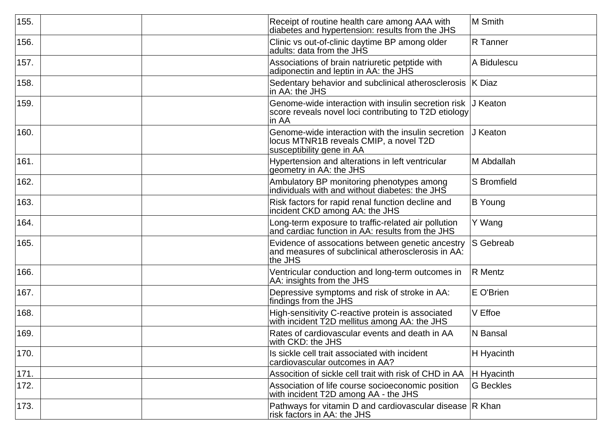| 155. | Receipt of routine health care among AAA with<br>diabetes and hypertension: results from the JHS                          | M Smith          |
|------|---------------------------------------------------------------------------------------------------------------------------|------------------|
| 156. | Clinic vs out-of-clinic daytime BP among older<br>adults: data from the JHS                                               | R Tanner         |
| 157. | Associations of brain natriuretic petptide with<br>adiponectin and leptin in AA: the JHS                                  | A Bidulescu      |
| 158. | Sedentary behavior and subclinical atherosclerosis  K Diaz<br>in AA: the JHS                                              |                  |
| 159. | Genome-wide interaction with insulin secretion risk<br>score reveals novel loci contributing to T2D etiology<br>in AA     | J Keaton         |
| 160. | Genome-wide interaction with the insulin secretion<br>locus MTNR1B reveals CMIP, a novel T2D<br>susceptibility gene in AA | J Keaton         |
| 161. | Hypertension and alterations in left ventricular<br>geometry in AA: the JHS                                               | M Abdallah       |
| 162. | Ambulatory BP monitoring phenotypes among<br>individuals with and without diabetes: the JHS                               | S Bromfield      |
| 163. | Risk factors for rapid renal function decline and<br>incident CKD among AA: the JHS                                       | B Young          |
| 164. | Long-term exposure to traffic-related air pollution<br>and cardiac function in AA: results from the JHS                   | Y Wang           |
| 165. | Evidence of assocations between genetic ancestry<br>and measures of subclinical atherosclerosis in AA:<br>the JHS         | <b>S</b> Gebreab |
| 166. | Ventricular conduction and long-term outcomes in<br>AA: insights from the JHS                                             | R Mentz          |
| 167. | Depressive symptoms and risk of stroke in AA:<br>findings from the JHS                                                    | E O'Brien        |
| 168. | High-sensitivity C-reactive protein is associated<br>with incident T2D mellitus among AA: the JHS                         | V Effoe          |
| 169. | Rates of cardiovascular events and death in AA<br>with CKD: the JHS                                                       | N Bansal         |
| 170. | Is sickle cell trait associated with incident<br>cardiovascular outcomes in AA?                                           | H Hyacinth       |
| 171. | Assocition of sickle cell trait with risk of CHD in AA                                                                    | H Hyacinth       |
| 172. | Association of life course socioeconomic position<br>with incident T2D among AA - the JHS                                 | <b>G</b> Beckles |
| 173. | Pathways for vitamin D and cardiovascular disease $ R$ Khan<br>risk factors in AA: the JHS                                |                  |